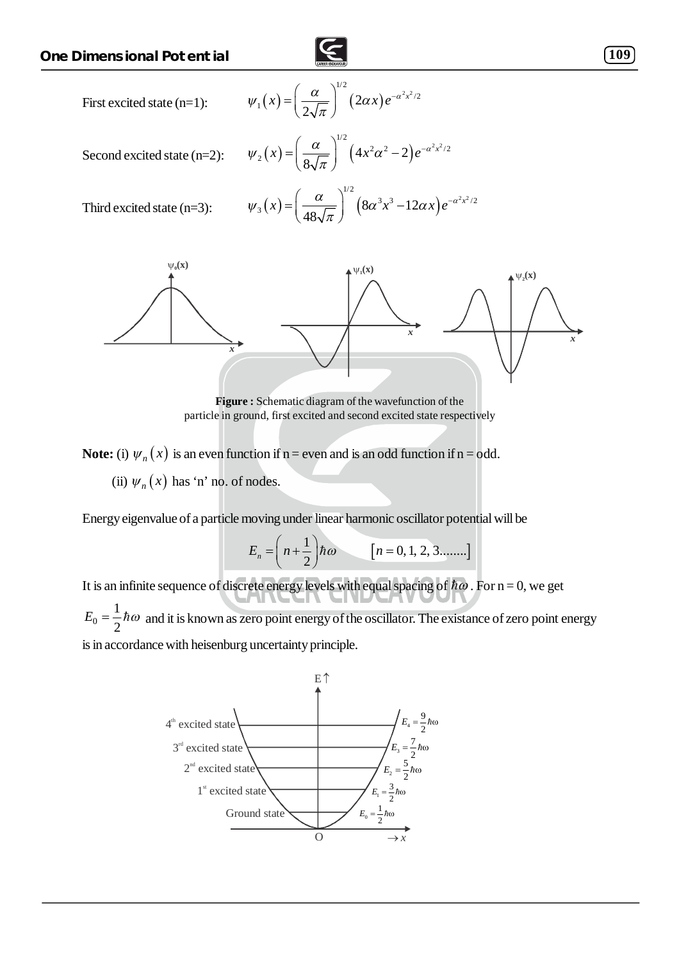



**Note:** (i)  $\psi_n(x)$  is an even function if n = even and is an odd function if n = odd. (ii)  $\psi_n(x)$  has 'n' no. of nodes.

Energy eigenvalue of a particle moving under linear harmonic oscillator potential will be

 $[n = 0, 1, 2, 3, \dots]$  $\frac{1}{2}$   $\hbar \omega$   $\qquad$   $\qquad$   $\left[n = 0, 1, 2, 3, \ldots \right]$  $E_n = \left(n + \frac{1}{2}\right)\hbar\omega$   $[n=0]$ 

It is an infinite sequence of discrete energy levels with equal spacing of  $\hbar\omega$ . For n = 0, we get 0 1  $E_0 = \frac{1}{2} \hbar \omega$  and it is known as zero point energy of the oscillator. The existance of zero point energy is in accordance with heisenburg uncertainty principle.